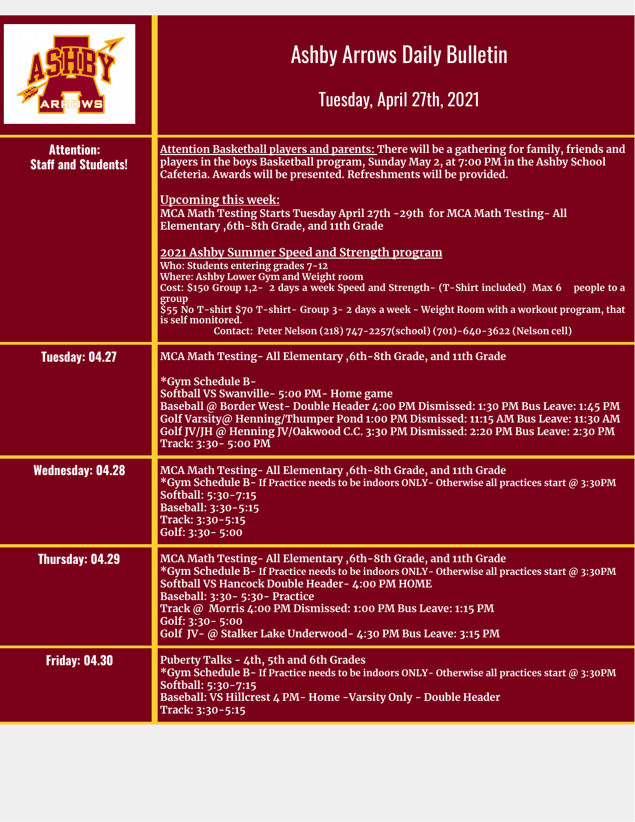|                                                 | <b>Ashby Arrows Daily Bulletin</b><br>Tuesday, April 27th, 2021                                                                                                                                                                                                                                                                                                                                                                                    |
|-------------------------------------------------|----------------------------------------------------------------------------------------------------------------------------------------------------------------------------------------------------------------------------------------------------------------------------------------------------------------------------------------------------------------------------------------------------------------------------------------------------|
| <b>Attention:</b><br><b>Staff and Students!</b> | Attention Basketball players and parents: There will be a gathering for family, friends and<br>players in the boys Basketball program, Sunday May 2, at 7:00 PM in the Ashby School<br>Cafeteria. Awards will be presented. Refreshments will be provided.<br><b>Upcoming this week:</b><br>MCA Math Testing Starts Tuesday April 27th - 29th for MCA Math Testing-All<br>Elementary , 6th - 8th Grade, and 11th Grade                             |
|                                                 | 2021 Ashby Summer Speed and Strength program<br>Who: Students entering grades 7-12<br><b>Where: Ashby Lower Gym and Weight room</b><br>Cost: \$150 Group 1,2-2 days a week Speed and Strength- (T-Shirt included) Max 6 people to a<br>group<br>\$55 No T-shirt \$70 T-shirt- Group 3- 2 days a week - Weight Room with a workout program, that<br>is self monitored.<br>Contact: Peter Nelson (218) 747-2257(school) (701)-640-3622 (Nelson cell) |
| Tuesday: 04.27                                  | MCA Math Testing-All Elementary, 6th-8th Grade, and 11th Grade<br>*Gym Schedule B-<br>Softball VS Swanville - 5:00 PM - Home game<br>Baseball @ Border West-Double Header 4:00 PM Dismissed: 1:30 PM Bus Leave: 1:45 PM<br>Golf Varsity@ Henning/Thumper Pond 1:00 PM Dismissed: 11:15 AM Bus Leave: 11:30 AM<br>Golf JV/JH @ Henning JV/Oakwood C.C. 3:30 PM Dismissed: 2:20 PM Bus Leave: 2:30 PM<br>Track: 3:30 - 5:00 PM                       |
| <b>Wednesday: 04.28</b>                         | MCA Math Testing- All Elementary , 6th-8th Grade, and 11th Grade<br>*Gym Schedule B-If Practice needs to be indoors ONLY-Otherwise all practices start @ 3:30PM<br>Softball: 5:30-7:15<br>Baseball: 3:30-5:15<br>Track: 3:30-5:15<br>Golf: 3:30 - 5:00                                                                                                                                                                                             |
| Thursday: 04.29                                 | MCA Math Testing- All Elementary , 6th-8th Grade, and 11th Grade<br>*Gym Schedule B-If Practice needs to be indoors ONLY-Otherwise all practices start @ 3:30PM<br>Softball VS Hancock Double Header- 4:00 PM HOME<br>Baseball: 3:30 - 5:30 - Practice<br>Track @ Morris 4:00 PM Dismissed: 1:00 PM Bus Leave: 1:15 PM<br>Golf: 3:30 - 5:00<br>Golf JV- @ Stalker Lake Underwood- 4:30 PM Bus Leave: 3:15 PM                                       |
| <b>Friday: 04.30</b>                            | Puberty Talks - 4th, 5th and 6th Grades<br>*Gym Schedule B-If Practice needs to be indoors ONLY-Otherwise all practices start @ 3:30PM<br>Softball: 5:30-7:15<br>Baseball: VS Hillcrest 4 PM- Home -Varsity Only - Double Header<br>Track: 3:30-5:15                                                                                                                                                                                               |